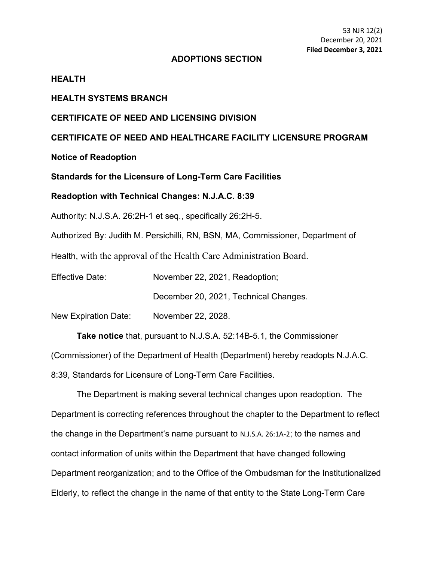#### **ADOPTIONS SECTION**

## **HEALTH**

#### **HEALTH SYSTEMS BRANCH**

## **CERTIFICATE OF NEED AND LICENSING DIVISION**

**CERTIFICATE OF NEED AND HEALTHCARE FACILITY LICENSURE PROGRAM**

**Notice of Readoption**

**Standards for the Licensure of Long-Term Care Facilities** 

#### **Readoption with Technical Changes: N.J.A.C. 8:39**

Authority: N.J.S.A. 26:2H-1 et seq., specifically 26:2H-5.

Authorized By: Judith M. Persichilli, RN, BSN, MA, Commissioner, Department of

Health, with the approval of the Health Care Administration Board.

Effective Date: November 22, 2021, Readoption;

December 20, 2021, Technical Changes.

New Expiration Date: November 22, 2028.

**Take notice** that, pursuant to N.J.S.A. 52:14B-5.1, the Commissioner

(Commissioner) of the Department of Health (Department) hereby readopts N.J.A.C.

8:39, Standards for Licensure of Long-Term Care Facilities.

The Department is making several technical changes upon readoption. The Department is correcting references throughout the chapter to the Department to reflect the change in the Department's name pursuant to N.J.S.A. 26:1A-2; to the names and contact information of units within the Department that have changed following Department reorganization; and to the Office of the Ombudsman for the Institutionalized Elderly, to reflect the change in the name of that entity to the State Long-Term Care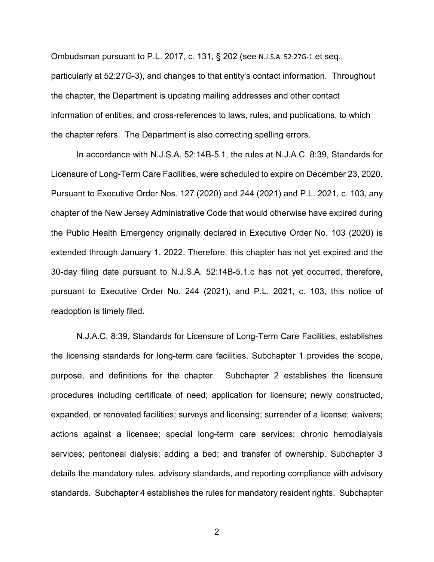Ombudsman pursuant to P.L. 2017, c. 131, § 202 (see N.J.S.A. 52:27G-1 et seq., particularly at 52:27G-3), and changes to that entity's contact information. Throughout the chapter, the Department is updating mailing addresses and other contact information of entities, and cross-references to laws, rules, and publications, to which the chapter refers. The Department is also correcting spelling errors.

In accordance with N.J.S.A. 52:14B-5.1, the rules at N.J.A.C. 8:39, Standards for Licensure of Long-Term Care Facilities, were scheduled to expire on December 23, 2020. Pursuant to Executive Order Nos. 127 (2020) and 244 (2021) and P.L. 2021, c. 103, any chapter of the New Jersey Administrative Code that would otherwise have expired during the Public Health Emergency originally declared in Executive Order No. 103 (2020) is extended through January 1, 2022. Therefore, this chapter has not yet expired and the 30-day filing date pursuant to N.J.S.A. 52:14B-5.1.c has not yet occurred, therefore, pursuant to Executive Order No. 244 (2021), and P.L. 2021, c. 103, this notice of readoption is timely filed.

N.J.A.C. 8:39, Standards for Licensure of Long-Term Care Facilities, establishes the licensing standards for long-term care facilities. Subchapter 1 provides the scope, purpose, and definitions for the chapter. Subchapter 2 establishes the licensure procedures including certificate of need; application for licensure; newly constructed, expanded, or renovated facilities; surveys and licensing; surrender of a license; waivers; actions against a licensee; special long-term care services; chronic hemodialysis services; peritoneal dialysis; adding a bed; and transfer of ownership. Subchapter 3 details the mandatory rules, advisory standards, and reporting compliance with advisory standards. Subchapter 4 establishes the rules for mandatory resident rights. Subchapter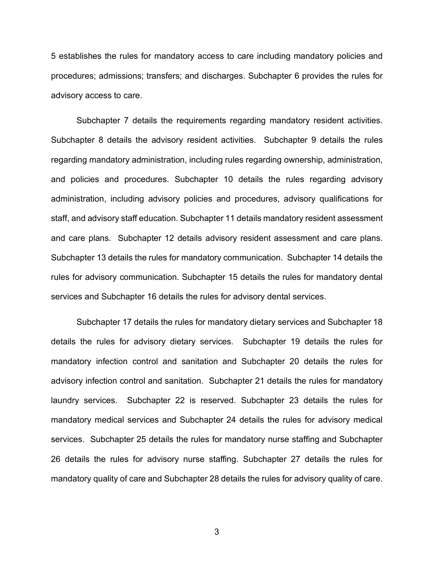5 establishes the rules for mandatory access to care including mandatory policies and procedures; admissions; transfers; and discharges. Subchapter 6 provides the rules for advisory access to care.

Subchapter 7 details the requirements regarding mandatory resident activities. Subchapter 8 details the advisory resident activities. Subchapter 9 details the rules regarding mandatory administration, including rules regarding ownership, administration, and policies and procedures. Subchapter 10 details the rules regarding advisory administration, including advisory policies and procedures, advisory qualifications for staff, and advisory staff education. Subchapter 11 details mandatory resident assessment and care plans. Subchapter 12 details advisory resident assessment and care plans. Subchapter 13 details the rules for mandatory communication. Subchapter 14 details the rules for advisory communication. Subchapter 15 details the rules for mandatory dental services and Subchapter 16 details the rules for advisory dental services.

Subchapter 17 details the rules for mandatory dietary services and Subchapter 18 details the rules for advisory dietary services. Subchapter 19 details the rules for mandatory infection control and sanitation and Subchapter 20 details the rules for advisory infection control and sanitation. Subchapter 21 details the rules for mandatory laundry services. Subchapter 22 is reserved. Subchapter 23 details the rules for mandatory medical services and Subchapter 24 details the rules for advisory medical services. Subchapter 25 details the rules for mandatory nurse staffing and Subchapter 26 details the rules for advisory nurse staffing. Subchapter 27 details the rules for mandatory quality of care and Subchapter 28 details the rules for advisory quality of care.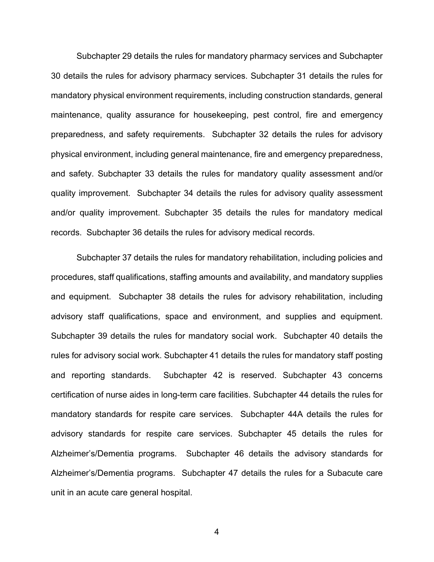Subchapter 29 details the rules for mandatory pharmacy services and Subchapter 30 details the rules for advisory pharmacy services. Subchapter 31 details the rules for mandatory physical environment requirements, including construction standards, general maintenance, quality assurance for housekeeping, pest control, fire and emergency preparedness, and safety requirements. Subchapter 32 details the rules for advisory physical environment, including general maintenance, fire and emergency preparedness, and safety. Subchapter 33 details the rules for mandatory quality assessment and/or quality improvement. Subchapter 34 details the rules for advisory quality assessment and/or quality improvement. Subchapter 35 details the rules for mandatory medical records. Subchapter 36 details the rules for advisory medical records.

Subchapter 37 details the rules for mandatory rehabilitation, including policies and procedures, staff qualifications, staffing amounts and availability, and mandatory supplies and equipment. Subchapter 38 details the rules for advisory rehabilitation, including advisory staff qualifications, space and environment, and supplies and equipment. Subchapter 39 details the rules for mandatory social work. Subchapter 40 details the rules for advisory social work. Subchapter 41 details the rules for mandatory staff posting and reporting standards. Subchapter 42 is reserved. Subchapter 43 concerns certification of nurse aides in long-term care facilities. Subchapter 44 details the rules for mandatory standards for respite care services. Subchapter 44A details the rules for advisory standards for respite care services. Subchapter 45 details the rules for Alzheimer's/Dementia programs. Subchapter 46 details the advisory standards for Alzheimer's/Dementia programs. Subchapter 47 details the rules for a Subacute care unit in an acute care general hospital.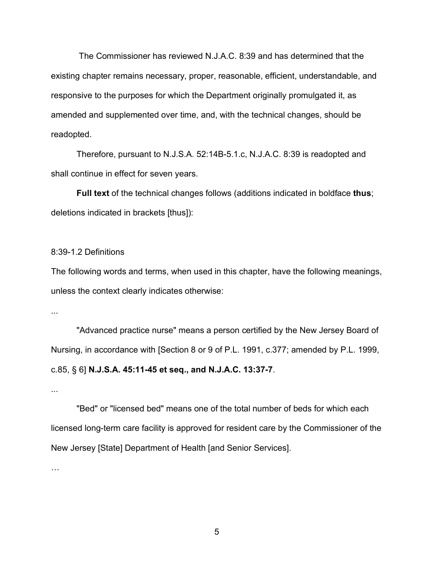The Commissioner has reviewed N.J.A.C. 8:39 and has determined that the existing chapter remains necessary, proper, reasonable, efficient, understandable, and responsive to the purposes for which the Department originally promulgated it, as amended and supplemented over time, and, with the technical changes, should be readopted.

Therefore, pursuant to N.J.S.A. 52:14B-5.1.c, N.J.A.C. 8:39 is readopted and shall continue in effect for seven years.

**Full text** of the technical changes follows (additions indicated in boldface **thus**; deletions indicated in brackets [thus]):

#### 8:39-1.2 Definitions

The following words and terms, when used in this chapter, have the following meanings, unless the context clearly indicates otherwise:

...

"Advanced practice nurse" means a person certified by the New Jersey Board of Nursing, in accordance with [Section 8 or 9 of P.L. 1991, c.377; amended by P.L. 1999, c.85, § 6] **N.J.S.A. 45:11-45 et seq., and N.J.A.C. 13:37-7**.

...

"Bed" or "licensed bed" means one of the total number of beds for which each licensed long-term care facility is approved for resident care by the Commissioner of the New Jersey [State] Department of Health [and Senior Services].

…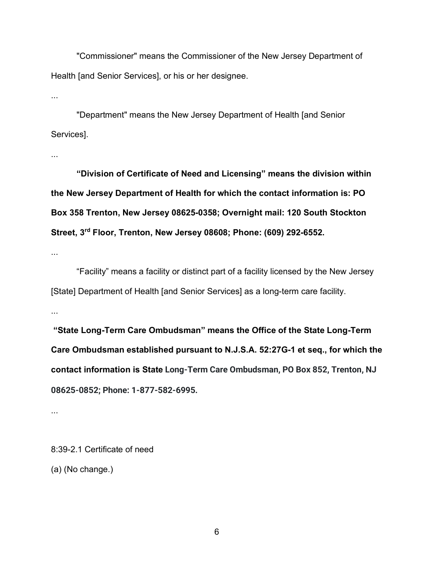"Commissioner" means the Commissioner of the New Jersey Department of Health [and Senior Services], or his or her designee.

...

"Department" means the New Jersey Department of Health [and Senior Services].

...

**"Division of Certificate of Need and Licensing" means the division within the New Jersey Department of Health for which the contact information is: PO Box 358 Trenton, New Jersey 08625-0358; Overnight mail: 120 South Stockton Street, 3rd Floor, Trenton, New Jersey 08608; Phone: (609) 292-6552.**

...

"Facility" means a facility or distinct part of a facility licensed by the New Jersey [State] Department of Health [and Senior Services] as a long-term care facility.

...

**"State Long-Term Care Ombudsman" means the Office of the State Long-Term Care Ombudsman established pursuant to N.J.S.A. 52:27G-1 et seq., for which the contact information is State Long-Term Care Ombudsman, PO Box 852, Trenton, NJ 08625-0852; Phone: 1-877-582-6995.**

...

8:39-2.1 Certificate of need (a) (No change.)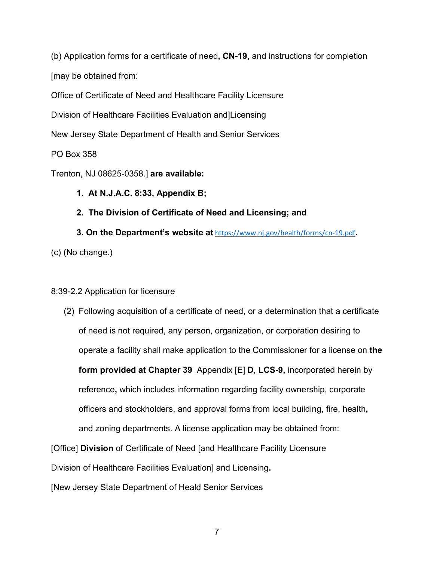(b) Application forms for a certificate of need**, CN-19,** and instructions for completion [may be obtained from:

Office of Certificate of Need and Healthcare Facility Licensure

Division of Healthcare Facilities Evaluation and]Licensing

New Jersey State Department of Health and Senior Services

PO Box 358

Trenton, NJ 08625-0358.] **are available:**

# **1. At N.J.A.C. 8:33, Appendix B;**

**2. The Division of Certificate of Need and Licensing; and**

**3. On the Department's website at** <https://www.nj.gov/health/forms/cn-19.pdf>**.** (c) (No change.)

# 8:39-2.2 Application for licensure

(2) Following acquisition of a certificate of need, or a determination that a certificate of need is not required, any person, organization, or corporation desiring to operate a facility shall make application to the Commissioner for a license on **the form provided at Chapter 39** Appendix [E] **D**, **LCS-9,** incorporated herein by reference**,** which includes information regarding facility ownership, corporate officers and stockholders, and approval forms from local building, fire, health**,** and zoning departments. A license application may be obtained from:

[Office] **Division** of Certificate of Need [and Healthcare Facility Licensure

Division of Healthcare Facilities Evaluation] and Licensing**.**

[New Jersey State Department of Heald Senior Services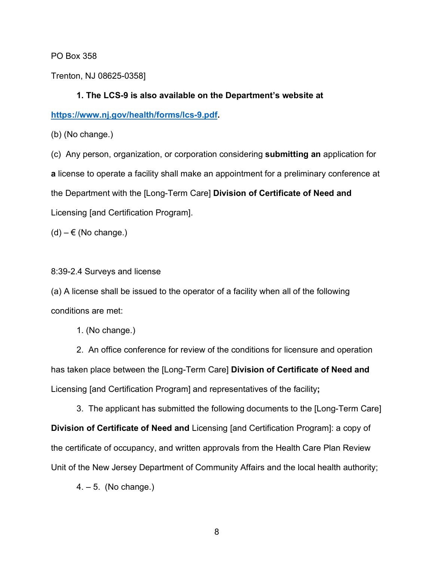PO Box 358

Trenton, NJ 08625-0358]

# **1. The LCS-9 is also available on the Department's website at**

**[https://www.nj.gov/health/forms/lcs-9.pdf.](https://www.nj.gov/health/forms/lcs-9.pdf)**

(b) (No change.)

(c) Any person, organization, or corporation considering **submitting an** application for **a** license to operate a facility shall make an appointment for a preliminary conference at the Department with the [Long-Term Care] **Division of Certificate of Need and** Licensing [and Certification Program].

 $(d) - \epsilon$  (No change.)

## 8:39-2.4 Surveys and license

(a) A license shall be issued to the operator of a facility when all of the following conditions are met:

1. (No change.)

2. An office conference for review of the conditions for licensure and operation has taken place between the [Long-Term Care] **Division of Certificate of Need and** Licensing [and Certification Program] and representatives of the facility**;**

3. The applicant has submitted the following documents to the [Long-Term Care] **Division of Certificate of Need and** Licensing [and Certification Program]: a copy of the certificate of occupancy, and written approvals from the Health Care Plan Review Unit of the New Jersey Department of Community Affairs and the local health authority;

4. – 5. (No change.)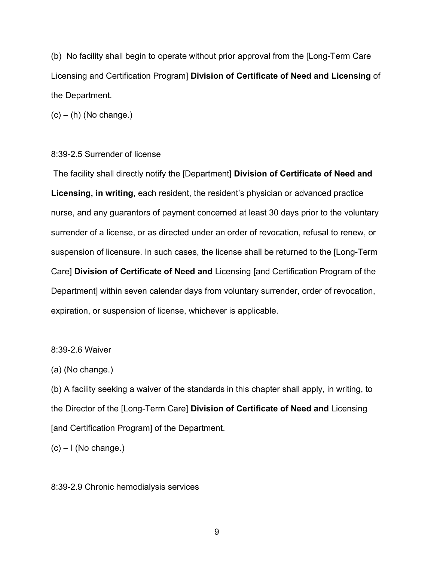(b) No facility shall begin to operate without prior approval from the [Long-Term Care Licensing and Certification Program] **Division of Certificate of Need and Licensing** of the Department.

 $(c) - (h)$  (No change.)

### 8:39-2.5 Surrender of license

The facility shall directly notify the [Department] **Division of Certificate of Need and Licensing, in writing**, each resident, the resident's physician or advanced practice nurse, and any guarantors of payment concerned at least 30 days prior to the voluntary surrender of a license, or as directed under an order of revocation, refusal to renew, or suspension of licensure. In such cases, the license shall be returned to the [Long-Term Care] **Division of Certificate of Need and** Licensing [and Certification Program of the Department] within seven calendar days from voluntary surrender, order of revocation, expiration, or suspension of license, whichever is applicable.

#### 8:39-2.6 Waiver

#### (a) (No change.)

(b) A facility seeking a waiver of the standards in this chapter shall apply, in writing, to the Director of the [Long-Term Care] **Division of Certificate of Need and** Licensing [and Certification Program] of the Department.

 $(c) - I$  (No change.)

#### 8:39-2.9 Chronic hemodialysis services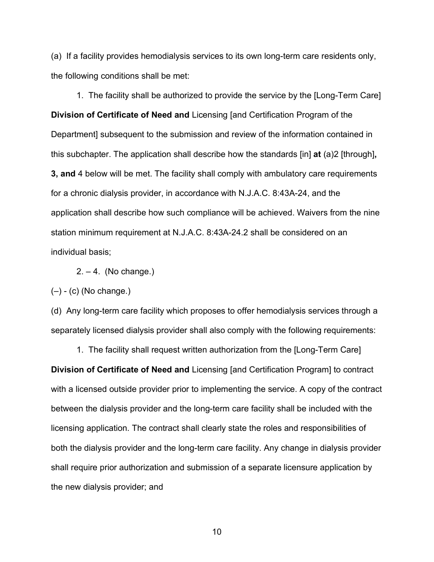(a) If a facility provides hemodialysis services to its own long-term care residents only, the following conditions shall be met:

1. The facility shall be authorized to provide the service by the [Long-Term Care] **Division of Certificate of Need and** Licensing [and Certification Program of the Department] subsequent to the submission and review of the information contained in this subchapter. The application shall describe how the standards [in] **at** (a)2 [through]**, 3, and** 4 below will be met. The facility shall comply with ambulatory care requirements for a chronic dialysis provider, in accordance with N.J.A.C. 8:43A-24, and the application shall describe how such compliance will be achieved. Waivers from the nine station minimum requirement at N.J.A.C. 8:43A-24.2 shall be considered on an individual basis;

 $2. - 4.$  (No change.)

 $(-)$  - (c) (No change.)

(d) Any long-term care facility which proposes to offer hemodialysis services through a separately licensed dialysis provider shall also comply with the following requirements:

1. The facility shall request written authorization from the [Long-Term Care] **Division of Certificate of Need and** Licensing [and Certification Program] to contract with a licensed outside provider prior to implementing the service. A copy of the contract between the dialysis provider and the long-term care facility shall be included with the licensing application. The contract shall clearly state the roles and responsibilities of both the dialysis provider and the long-term care facility. Any change in dialysis provider shall require prior authorization and submission of a separate licensure application by the new dialysis provider; and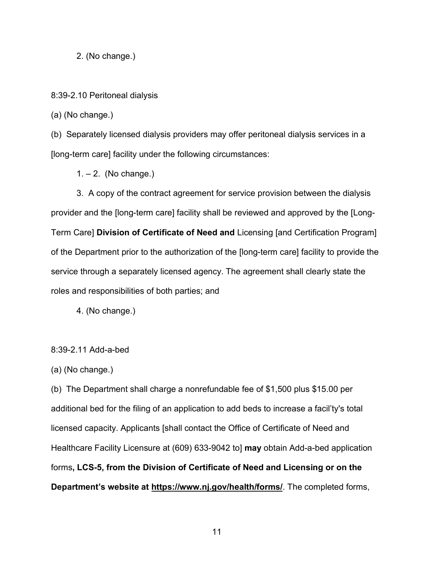2. (No change.)

8:39-2.10 Peritoneal dialysis

(a) (No change.)

(b) Separately licensed dialysis providers may offer peritoneal dialysis services in a [long-term care] facility under the following circumstances:

 $1 - 2$ . (No change.)

3. A copy of the contract agreement for service provision between the dialysis provider and the [long-term care] facility shall be reviewed and approved by the [Long-Term Care] **Division of Certificate of Need and** Licensing [and Certification Program] of the Department prior to the authorization of the [long-term care] facility to provide the service through a separately licensed agency. The agreement shall clearly state the roles and responsibilities of both parties; and

4. (No change.)

#### 8:39-2.11 Add-a-bed

(a) (No change.)

(b) The Department shall charge a nonrefundable fee of \$1,500 plus \$15.00 per additional bed for the filing of an application to add beds to increase a facil'ty's total licensed capacity. Applicants [shall contact the Office of Certificate of Need and Healthcare Facility Licensure at (609) 633-9042 to] **may** obtain Add-a-bed application forms**, LCS-5, from the Division of Certificate of Need and Licensing or on the Department's website at https://www.nj.gov/health/forms/**. The completed forms,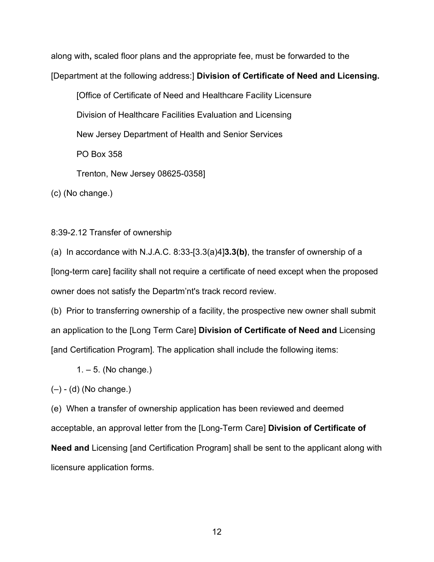along with**,** scaled floor plans and the appropriate fee, must be forwarded to the

[Department at the following address:] **Division of Certificate of Need and Licensing.**

[Office of Certificate of Need and Healthcare Facility Licensure

Division of Healthcare Facilities Evaluation and Licensing

New Jersey Department of Health and Senior Services

PO Box 358

Trenton, New Jersey 08625-0358]

(c) (No change.)

8:39-2.12 Transfer of ownership

(a) In accordance with N.J.A.C. 8:33-[3.3(a)4]**3.3(b)**, the transfer of ownership of a [long-term care] facility shall not require a certificate of need except when the proposed owner does not satisfy the Departm'nt's track record review.

(b) Prior to transferring ownership of a facility, the prospective new owner shall submit an application to the [Long Term Care] **Division of Certificate of Need and** Licensing [and Certification Program]. The application shall include the following items:

 $1. - 5.$  (No change.)

 $(-)$  - (d) (No change.)

(e) When a transfer of ownership application has been reviewed and deemed acceptable, an approval letter from the [Long-Term Care] **Division of Certificate of Need and** Licensing [and Certification Program] shall be sent to the applicant along with licensure application forms.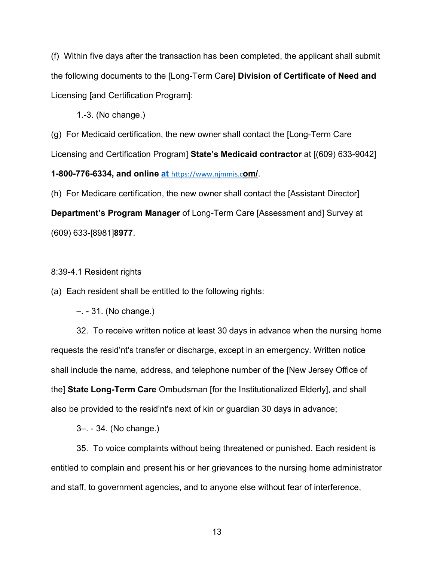(f) Within five days after the transaction has been completed, the applicant shall submit the following documents to the [Long-Term Care] **Division of Certificate of Need and** Licensing [and Certification Program]:

1.-3. (No change.)

(g) For Medicaid certification, the new owner shall contact the [Long-Term Care Licensing and Certification Program] **State's Medicaid contractor** at [(609) 633-9042]

**1-800-776-6334, and online at** https://www.njmmis.c**om/**.

(h) For Medicare certification, the new owner shall contact the [Assistant Director] **Department's Program Manager** of Long-Term Care [Assessment and] Survey at (609) 633-[8981]**8977**.

## 8:39-4.1 Resident rights

(a) Each resident shall be entitled to the following rights:

–. - 31. (No change.)

32. To receive written notice at least 30 days in advance when the nursing home requests the resid'nt's transfer or discharge, except in an emergency. Written notice shall include the name, address, and telephone number of the [New Jersey Office of the] **State Long-Term Care** Ombudsman [for the Institutionalized Elderly], and shall also be provided to the resid'nt's next of kin or guardian 30 days in advance;

3–. - 34. (No change.)

35. To voice complaints without being threatened or punished. Each resident is entitled to complain and present his or her grievances to the nursing home administrator and staff, to government agencies, and to anyone else without fear of interference,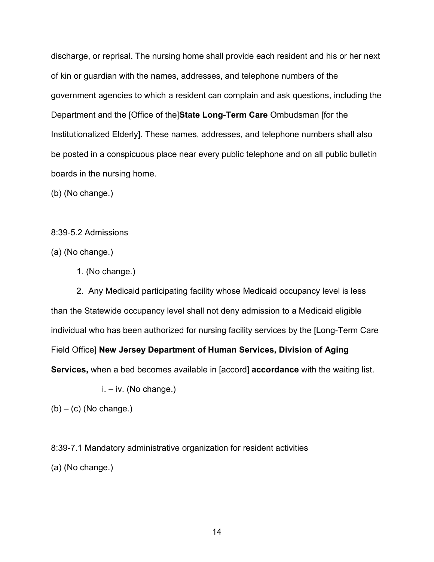discharge, or reprisal. The nursing home shall provide each resident and his or her next of kin or guardian with the names, addresses, and telephone numbers of the government agencies to which a resident can complain and ask questions, including the Department and the [Office of the]**State Long-Term Care** Ombudsman [for the Institutionalized Elderly]. These names, addresses, and telephone numbers shall also be posted in a conspicuous place near every public telephone and on all public bulletin boards in the nursing home.

(b) (No change.)

8:39-5.2 Admissions

(a) (No change.)

1. (No change.)

2. Any Medicaid participating facility whose Medicaid occupancy level is less than the Statewide occupancy level shall not deny admission to a Medicaid eligible individual who has been authorized for nursing facility services by the [Long-Term Care Field Office] **New Jersey Department of Human Services, Division of Aging Services,** when a bed becomes available in [accord] **accordance** with the waiting list.

 $i. - iv.$  (No change.)

 $(b) - (c)$  (No change.)

8:39-7.1 Mandatory administrative organization for resident activities (a) (No change.)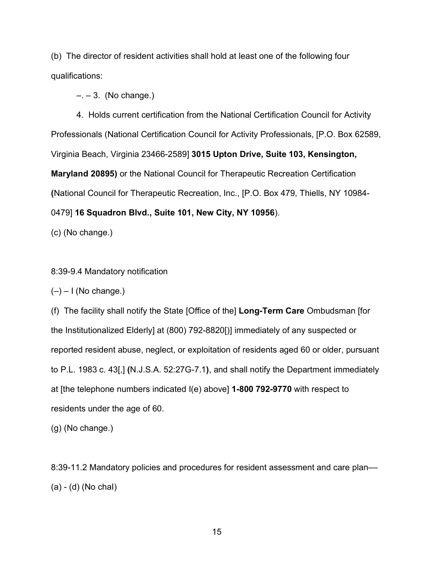(b) The director of resident activities shall hold at least one of the following four qualifications:

 $- - 3$ . (No change.)

4. Holds current certification from the National Certification Council for Activity Professionals (National Certification Council for Activity Professionals, [P.O. Box 62589, Virginia Beach, Virginia 23466-2589] **3015 Upton Drive, Suite 103, Kensington, Maryland 20895)** or the National Council for Therapeutic Recreation Certification **(**National Council for Therapeutic Recreation, Inc., [P.O. Box 479, Thiells, NY 10984- 0479] **16 Squadron Blvd., Suite 101, New City, NY 10956**).

(c) (No change.)

## 8:39-9.4 Mandatory notification

 $(-) - 1$  (No change.)

(f) The facility shall notify the State [Office of the] **Long-Term Care** Ombudsman [for the Institutionalized Elderly] at (800) 792-8820[)] immediately of any suspected or reported resident abuse, neglect, or exploitation of residents aged 60 or older, pursuant to P.L. 1983 c. 43[,] **(**N.J.S.A. 52:27G-7.1**)**, and shall notify the Department immediately at [the telephone numbers indicated I(e) above] **1-800 792-9770** with respect to residents under the age of 60.

(g) (No change.)

8:39-11.2 Mandatory policies and procedures for resident assessment and care plan–– (a) - (d) (No chaI)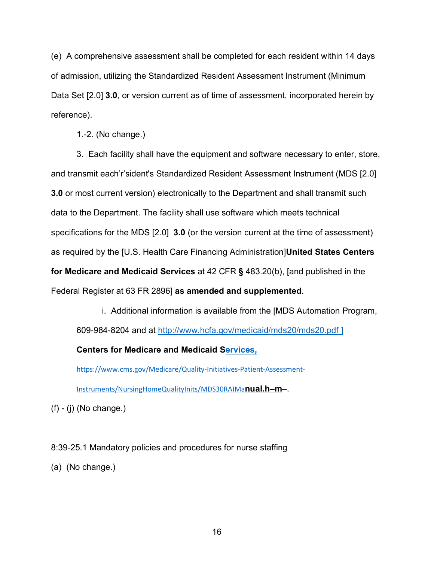(e) A comprehensive assessment shall be completed for each resident within 14 days of admission, utilizing the Standardized Resident Assessment Instrument (Minimum Data Set [2.0] **3.0**, or version current as of time of assessment, incorporated herein by reference).

1.-2. (No change.)

3. Each facility shall have the equipment and software necessary to enter, store, and transmit each'r'sident's Standardized Resident Assessment Instrument (MDS [2.0] **3.0** or most current version) electronically to the Department and shall transmit such data to the Department. The facility shall use software which meets technical specifications for the MDS [2.0] **3.0** (or the version current at the time of assessment) as required by the [U.S. Health Care Financing Administration]**United States Centers for Medicare and Medicaid Services** at 42 CFR **§** 483.20(b), [and published in the Federal Register at 63 FR 2896] **as amended and supplemented**.

i. Additional information is available from the [MDS Automation Program, 609-984-8204 and at<http://www.hcfa.gov/medicaid/mds20/mds20.pdf> ]

**Centers for Medicare and Medicaid Services,**

https://www.cms.gov/Medicare/Quality-Initiatives-Patient-Assessment-

Instruments/NursingHomeQualityInits/MDS30RAIMa**nual.h–m**–.

 $(f)$  -  $(j)$  (No change.)

8:39-25.1 Mandatory policies and procedures for nurse staffing

(a) (No change.)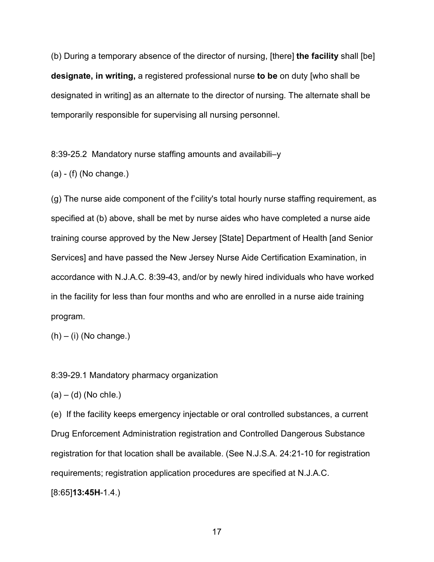(b) During a temporary absence of the director of nursing, [there] **the facility** shall [be] **designate, in writing,** a registered professional nurse **to be** on duty [who shall be designated in writing] as an alternate to the director of nursing. The alternate shall be temporarily responsible for supervising all nursing personnel.

8:39-25.2 Mandatory nurse staffing amounts and availabili–y

(a) - (f) (No change.)

(g) The nurse aide component of the f'cility's total hourly nurse staffing requirement, as specified at (b) above, shall be met by nurse aides who have completed a nurse aide training course approved by the New Jersey [State] Department of Health [and Senior Services] and have passed the New Jersey Nurse Aide Certification Examination, in accordance with N.J.A.C. 8:39-43, and/or by newly hired individuals who have worked in the facility for less than four months and who are enrolled in a nurse aide training program.

 $(h) - (i)$  (No change.)

8:39-29.1 Mandatory pharmacy organization

 $(a) - (d)$  (No chie.)

(e) If the facility keeps emergency injectable or oral controlled substances, a current Drug Enforcement Administration registration and Controlled Dangerous Substance registration for that location shall be available. (See N.J.S.A. 24:21-10 for registration requirements; registration application procedures are specified at N.J.A.C. [8:65]**13:45H**-1.4.)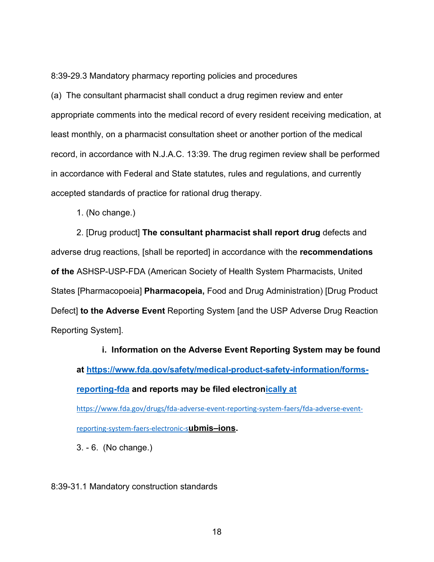8:39-29.3 Mandatory pharmacy reporting policies and procedures

(a) The consultant pharmacist shall conduct a drug regimen review and enter appropriate comments into the medical record of every resident receiving medication, at least monthly, on a pharmacist consultation sheet or another portion of the medical record, in accordance with N.J.A.C. 13:39. The drug regimen review shall be performed in accordance with Federal and State statutes, rules and regulations, and currently accepted standards of practice for rational drug therapy.

1. (No change.)

2. [Drug product] **The consultant pharmacist shall report drug** defects and adverse drug reactions, [shall be reported] in accordance with the **recommendations of the** ASHSP-USP-FDA (American Society of Health System Pharmacists, United States [Pharmacopoeia] **Pharmacopeia,** Food and Drug Administration) [Drug Product Defect] **to the Adverse Event** Reporting System [and the USP Adverse Drug Reaction Reporting System].

**i. Information on the Adverse Event Reporting System may be found at [https://www.fda.gov/safety/medical-product-safety-information/forms](https://www.fda.gov/safety/medical-product-safety-information/forms-reporting-fda)[reporting-fda](https://www.fda.gov/safety/medical-product-safety-information/forms-reporting-fda) and reports may be filed electronically at**  https://www.fda.gov/drugs/fda-adverse-event-reporting-system-faers/fda-adverse-event-

reporting-system-faers-electronic-s**ubmis–ions.**

3. - 6. (No change.)

8:39-31.1 Mandatory construction standards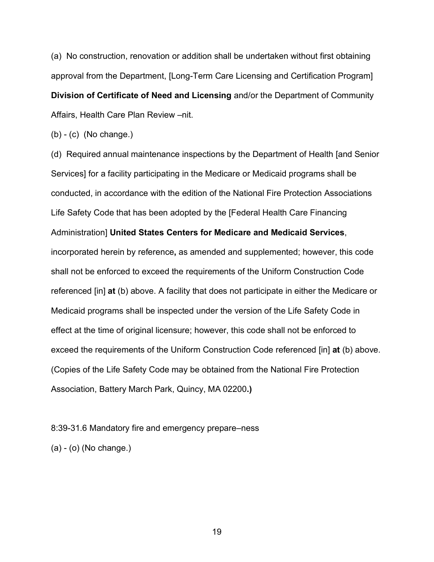(a) No construction, renovation or addition shall be undertaken without first obtaining approval from the Department, [Long-Term Care Licensing and Certification Program] **Division of Certificate of Need and Licensing** and/or the Department of Community Affairs, Health Care Plan Review –nit.

(b) - (c) (No change.)

(d) Required annual maintenance inspections by the Department of Health [and Senior Services] for a facility participating in the Medicare or Medicaid programs shall be conducted, in accordance with the edition of the National Fire Protection Associations Life Safety Code that has been adopted by the [Federal Health Care Financing Administration] **United States Centers for Medicare and Medicaid Services**, incorporated herein by reference**,** as amended and supplemented; however, this code shall not be enforced to exceed the requirements of the Uniform Construction Code referenced [in] **at** (b) above. A facility that does not participate in either the Medicare or Medicaid programs shall be inspected under the version of the Life Safety Code in effect at the time of original licensure; however, this code shall not be enforced to exceed the requirements of the Uniform Construction Code referenced [in] **at** (b) above. (Copies of the Life Safety Code may be obtained from the National Fire Protection Association, Battery March Park, Quincy, MA 02200**.)**

8:39-31.6 Mandatory fire and emergency prepare–ness

(a) - (o) (No change.)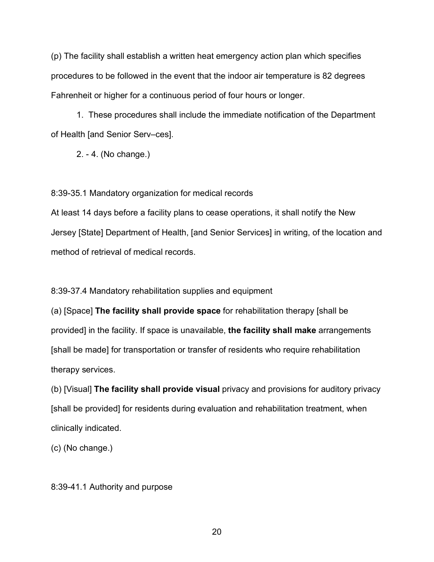(p) The facility shall establish a written heat emergency action plan which specifies procedures to be followed in the event that the indoor air temperature is 82 degrees Fahrenheit or higher for a continuous period of four hours or longer.

1. These procedures shall include the immediate notification of the Department of Health [and Senior Serv–ces].

2. - 4. (No change.)

8:39-35.1 Mandatory organization for medical records

At least 14 days before a facility plans to cease operations, it shall notify the New Jersey [State] Department of Health, [and Senior Services] in writing, of the location and method of retrieval of medical records.

8:39-37.4 Mandatory rehabilitation supplies and equipment

(a) [Space] **The facility shall provide space** for rehabilitation therapy [shall be provided] in the facility. If space is unavailable, **the facility shall make** arrangements [shall be made] for transportation or transfer of residents who require rehabilitation therapy services.

(b) [Visual] **The facility shall provide visual** privacy and provisions for auditory privacy [shall be provided] for residents during evaluation and rehabilitation treatment, when clinically indicated.

(c) (No change.)

8:39-41.1 Authority and purpose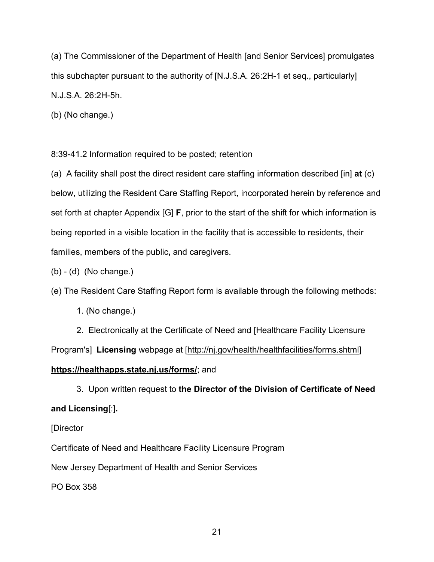(a) The Commissioner of the Department of Health [and Senior Services] promulgates this subchapter pursuant to the authority of [N.J.S.A. 26:2H-1 et seq., particularly] N.J.S.A. 26:2H-5h.

(b) (No change.)

8:39-41.2 Information required to be posted; retention

(a) A facility shall post the direct resident care staffing information described [in] **at** (c) below, utilizing the Resident Care Staffing Report, incorporated herein by reference and set forth at chapter Appendix [G] **F**, prior to the start of the shift for which information is being reported in a visible location in the facility that is accessible to residents, their families, members of the public**,** and caregivers.

(b) - (d) (No change.)

(e) The Resident Care Staffing Report form is available through the following methods:

1. (No change.)

2. Electronically at the Certificate of Need and [Healthcare Facility Licensure Program's] **Licensing** webpage at [http://nj.gov/health/healthfacilities/forms.shtml] **https://healthapps.state.nj.us/forms/**; and

3. Upon written request to **the Director of the Division of Certificate of Need and Licensing**[:]**.**

## [Director

Certificate of Need and Healthcare Facility Licensure Program

New Jersey Department of Health and Senior Services

PO Box 358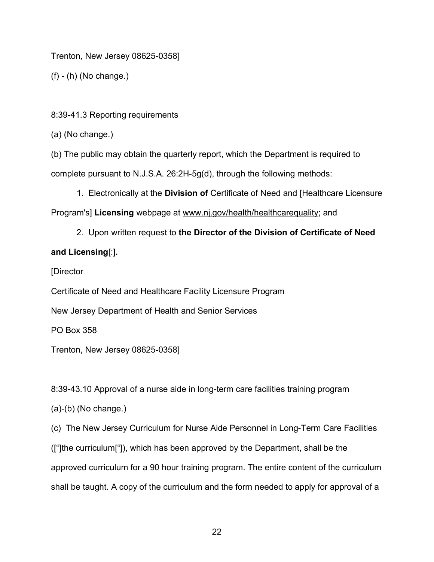Trenton, New Jersey 08625-0358]

(f) - (h) (No change.)

8:39-41.3 Reporting requirements

(a) (No change.)

(b) The public may obtain the quarterly report, which the Department is required to complete pursuant to N.J.S.A. 26:2H-5g(d), through the following methods:

1. Electronically at the **Division of** Certificate of Need and [Healthcare Licensure Program's] **Licensing** webpage at www.nj.gov/health/healthcarequality; and

2. Upon written request to **the Director of the Division of Certificate of Need and Licensing**[:]**.**

[Director

Certificate of Need and Healthcare Facility Licensure Program

New Jersey Department of Health and Senior Services

PO Box 358

Trenton, New Jersey 08625-0358]

8:39-43.10 Approval of a nurse aide in long-term care facilities training program

(a)-(b) (No change.)

(c) The New Jersey Curriculum for Nurse Aide Personnel in Long-Term Care Facilities (["]the curriculum["]), which has been approved by the Department, shall be the approved curriculum for a 90 hour training program. The entire content of the curriculum shall be taught. A copy of the curriculum and the form needed to apply for approval of a